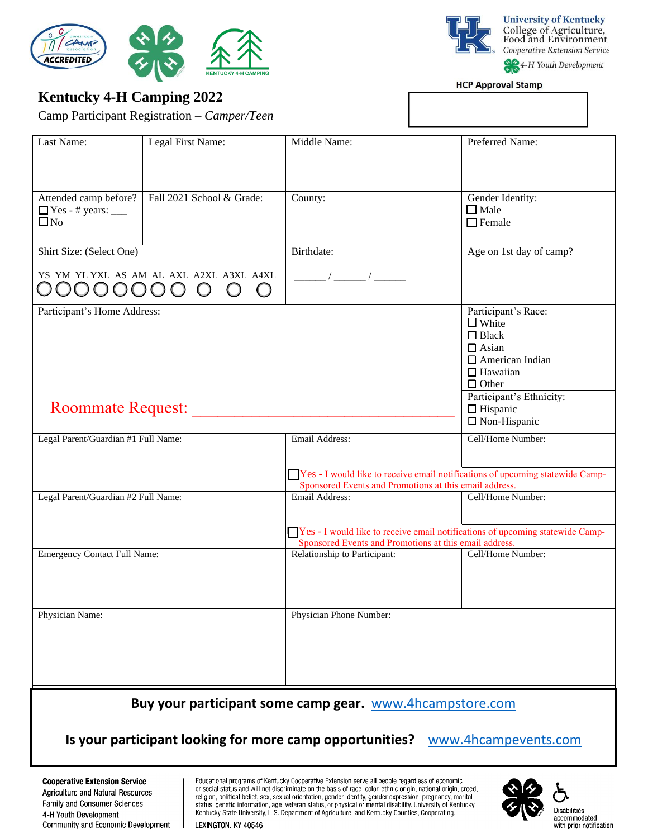



Cooperative Extension Service

4-H Youth Development

**HCP Approval Stamp** 

# **Kentucky 4-H Camping 2022**

Camp Participant Registration – *Camper/Teen*

| Last Name:                                               | Legal First Name:         | Middle Name:                                                                                                                            | Preferred Name:                                                                                                                  |  |  |
|----------------------------------------------------------|---------------------------|-----------------------------------------------------------------------------------------------------------------------------------------|----------------------------------------------------------------------------------------------------------------------------------|--|--|
| Attended camp before?<br>$\Box$ Yes - # years: $\_\_$    | Fall 2021 School & Grade: | County:                                                                                                                                 | Gender Identity:<br>$\Box$ Male                                                                                                  |  |  |
| $\square$ No                                             |                           |                                                                                                                                         | $\Box$ Female                                                                                                                    |  |  |
| Shirt Size: (Select One)                                 |                           | Birthdate:                                                                                                                              | Age on 1st day of camp?                                                                                                          |  |  |
| YS YM YL YXL AS AM AL AXL A2XL A3XL A4XL<br>JUU0000      |                           |                                                                                                                                         |                                                                                                                                  |  |  |
| Participant's Home Address:                              |                           |                                                                                                                                         | Participant's Race:<br>$\Box$ White<br>$\Box$ Black<br>$\Box$ Asian<br>$\Box$ American Indian<br>$\Box$ Hawaiian<br>$\Box$ Other |  |  |
| <b>Roommate Request:</b>                                 |                           |                                                                                                                                         | Participant's Ethnicity:<br>$\Box$ Hispanic<br>$\square$ Non-Hispanic                                                            |  |  |
| Legal Parent/Guardian #1 Full Name:                      |                           | Email Address:                                                                                                                          | Cell/Home Number:                                                                                                                |  |  |
|                                                          |                           | Yes - I would like to receive email notifications of upcoming statewide Camp-<br>Sponsored Events and Promotions at this email address. |                                                                                                                                  |  |  |
| Legal Parent/Guardian #2 Full Name:                      |                           | Email Address:                                                                                                                          | Cell/Home Number:                                                                                                                |  |  |
|                                                          |                           | Yes - I would like to receive email notifications of upcoming statewide Camp-<br>Sponsored Events and Promotions at this email address. |                                                                                                                                  |  |  |
| Emergency Contact Full Name:                             |                           | Relationship to Participant:                                                                                                            | Cell/Home Number:                                                                                                                |  |  |
| Physician Name:                                          |                           | Physician Phone Number:                                                                                                                 |                                                                                                                                  |  |  |
| Buy your participant some camp gear. www.4hcampstore.com |                           |                                                                                                                                         |                                                                                                                                  |  |  |
|                                                          |                           |                                                                                                                                         |                                                                                                                                  |  |  |

**Is your participant looking for more camp opportunities?** [www.4hcampevents.com](http://www.4hcampevents.com/)

**Cooperative Extension Service** Agriculture and Natural Resources Family and Consumer Sciences 4-H Youth Development Community and Economic Development Educational programs of Kentucky Cooperative Extension serve all people regardless of economic<br>or social status and will not discriminate on the basis of race, color, ethnic origin, national origin, creed, or control and control of the sextern status, or physical or function, gender expression, pregnancy, marital<br>status, genetic information, age, veteran status, or physical or mental disability. University of Kentucky,<br>Kentu LEXINGTON, KY 40546

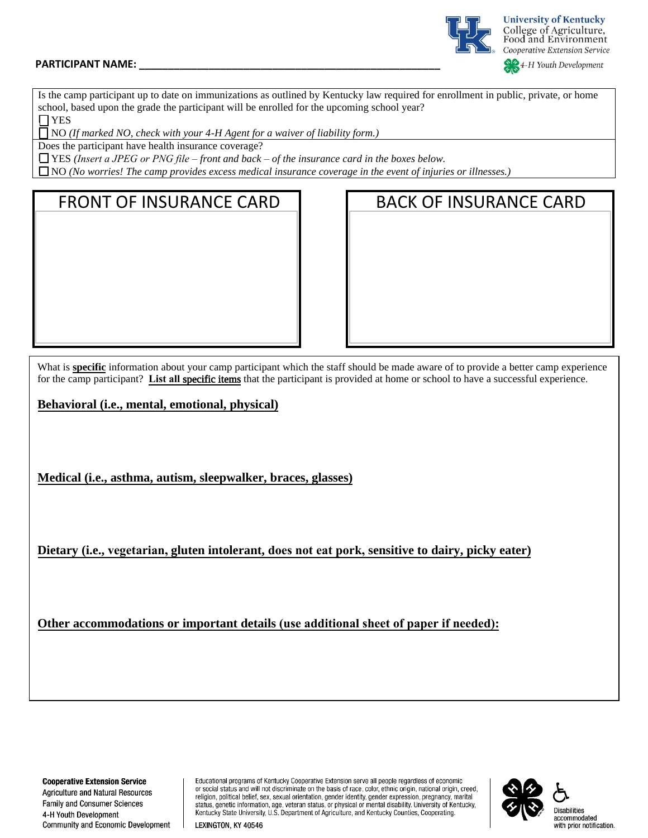## PARTICIPANT NAME:



Is the camp participant up to date on immunizations as outlined by Kentucky law required for enrollment in public, private, or home school, based upon the grade the participant will be enrolled for the upcoming school year? ❑ YES

❑ NO *(If marked NO, check with your 4-H Agent for a waiver of liability form.)*

Does the participant have health insurance coverage?

❑ YES *(Insert a JPEG or PNG file – front and back – of the insurance card in the boxes below.*

❑ NO *(No worries! The camp provides excess medical insurance coverage in the event of injuries or illnesses.)*

# FRONT OF INSURANCE CARD  $\parallel$  BACK OF INSURANCE CARD

What is **specific** information about your camp participant which the staff should be made aware of to provide a better camp experience for the camp participant? **List all** specific items that the participant is provided at home or school to have a successful experience.

**Behavioral (i.e., mental, emotional, physical)**

**Medical (i.e., asthma, autism, sleepwalker, braces, glasses)**

**Dietary (i.e., vegetarian, gluten intolerant, does not eat pork, sensitive to dairy, picky eater)**

**Other accommodations or important details (use additional sheet of paper if needed):**



LEXINGTON, KY 40546